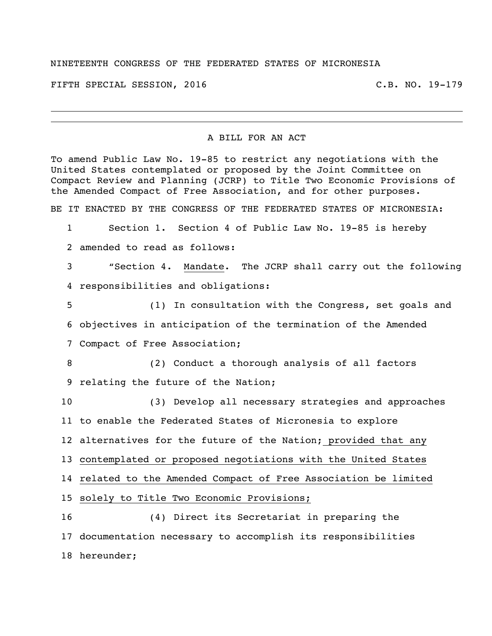## NINETEENTH CONGRESS OF THE FEDERATED STATES OF MICRONESIA

FIFTH SPECIAL SESSION, 2016 C.B. NO. 19-179

A BILL FOR AN ACT

To amend Public Law No. 19-85 to restrict any negotiations with the United States contemplated or proposed by the Joint Committee on Compact Review and Planning (JCRP) to Title Two Economic Provisions of the Amended Compact of Free Association, and for other purposes.

BE IT ENACTED BY THE CONGRESS OF THE FEDERATED STATES OF MICRONESIA:

 Section 1. Section 4 of Public Law No. 19-85 is hereby amended to read as follows:

 "Section 4. Mandate. The JCRP shall carry out the following responsibilities and obligations:

 (1) In consultation with the Congress, set goals and objectives in anticipation of the termination of the Amended Compact of Free Association;

 (2) Conduct a thorough analysis of all factors relating the future of the Nation;

 (3) Develop all necessary strategies and approaches to enable the Federated States of Micronesia to explore alternatives for the future of the Nation; provided that any contemplated or proposed negotiations with the United States related to the Amended Compact of Free Association be limited solely to Title Two Economic Provisions; (4) Direct its Secretariat in preparing the

 documentation necessary to accomplish its responsibilities hereunder;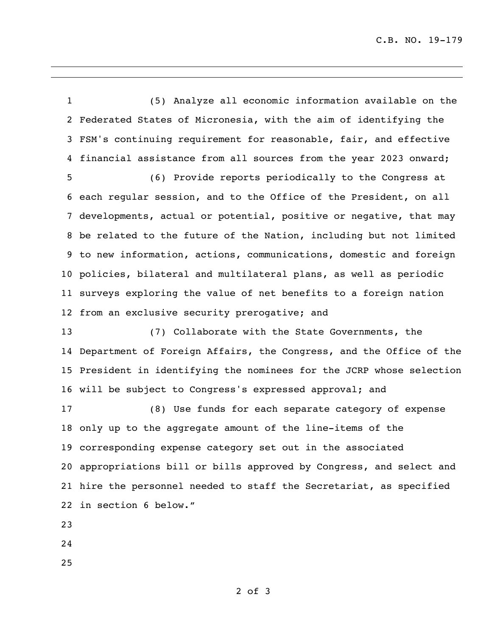(5) Analyze all economic information available on the Federated States of Micronesia, with the aim of identifying the FSM's continuing requirement for reasonable, fair, and effective financial assistance from all sources from the year 2023 onward; (6) Provide reports periodically to the Congress at each regular session, and to the Office of the President, on all developments, actual or potential, positive or negative, that may be related to the future of the Nation, including but not limited to new information, actions, communications, domestic and foreign policies, bilateral and multilateral plans, as well as periodic surveys exploring the value of net benefits to a foreign nation from an exclusive security prerogative; and

 (7) Collaborate with the State Governments, the Department of Foreign Affairs, the Congress, and the Office of the President in identifying the nominees for the JCRP whose selection will be subject to Congress's expressed approval; and

 (8) Use funds for each separate category of expense only up to the aggregate amount of the line-items of the corresponding expense category set out in the associated appropriations bill or bills approved by Congress, and select and hire the personnel needed to staff the Secretariat, as specified in section 6 below."